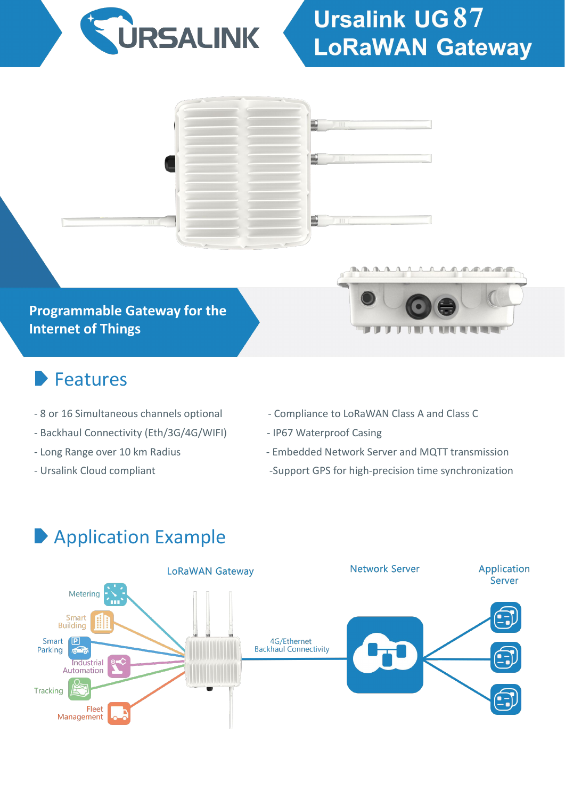

# **Ursalink UG 87 LoRaWAN Gateway**



#### **Programmable Gateway for the Internet of Things**

#### Features

- 
- Backhaul Connectivity (Eth/3G/4G/WIFI) IP67 Waterproof Casing
- 
- 



- 8 or 16 Simultaneous channels optional Compliance to LoRaWAN Class A and Class C
	-
- Long Range over 10 km Radius The Supply Contract Congress Embedded Network Server and MQTT transmission
- Ursalink Cloud compliant examples and the Support GPS for high-precision time synchronization

### Application Example

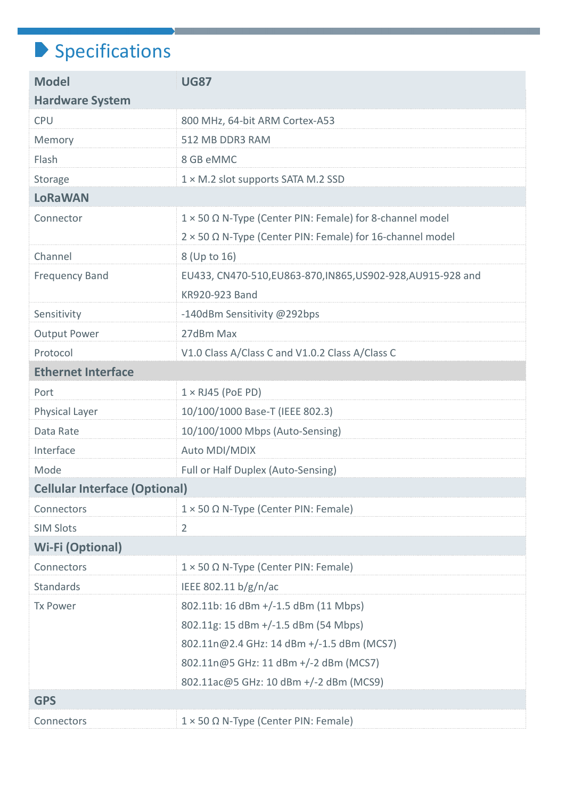## $\blacktriangleright$  Specifications

| <b>Model</b>                         | <b>UG87</b>                                                  |
|--------------------------------------|--------------------------------------------------------------|
| <b>Hardware System</b>               |                                                              |
| <b>CPU</b>                           | 800 MHz, 64-bit ARM Cortex-A53                               |
| Memory                               | 512 MB DDR3 RAM                                              |
| Flash                                | 8 GB eMMC                                                    |
| Storage                              | $1 \times M.2$ slot supports SATA M.2 SSD                    |
| <b>LoRaWAN</b>                       |                                                              |
| Connector                            | 1 × 50 Ω N-Type (Center PIN: Female) for 8-channel model     |
|                                      | 2 × 50 Ω N-Type (Center PIN: Female) for 16-channel model    |
| Channel                              | 8 (Up to 16)                                                 |
| <b>Frequency Band</b>                | EU433, CN470-510, EU863-870, IN865, US902-928, AU915-928 and |
|                                      | KR920-923 Band                                               |
| Sensitivity                          | -140dBm Sensitivity @292bps                                  |
| <b>Output Power</b>                  | 27dBm Max                                                    |
| Protocol                             | V1.0 Class A/Class C and V1.0.2 Class A/Class C              |
| <b>Ethernet Interface</b>            |                                                              |
| Port                                 | $1 \times R$ J45 (PoE PD)                                    |
| Physical Layer                       | 10/100/1000 Base-T (IEEE 802.3)                              |
| Data Rate                            | 10/100/1000 Mbps (Auto-Sensing)                              |
| Interface                            | Auto MDI/MDIX                                                |
| Mode                                 | Full or Half Duplex (Auto-Sensing)                           |
| <b>Cellular Interface (Optional)</b> |                                                              |
| Connectors                           | $1 \times 50 \Omega$ N-Type (Center PIN: Female)             |
| <b>SIM Slots</b>                     | $\overline{2}$                                               |
| <b>Wi-Fi (Optional)</b>              |                                                              |
| Connectors                           | $1 \times 50 \Omega$ N-Type (Center PIN: Female)             |
| <b>Standards</b>                     | IEEE 802.11 b/g/n/ac                                         |
| <b>Tx Power</b>                      | 802.11b: 16 dBm +/-1.5 dBm (11 Mbps)                         |
|                                      | 802.11g: 15 dBm +/-1.5 dBm (54 Mbps)                         |
|                                      | 802.11n@2.4 GHz: 14 dBm +/-1.5 dBm (MCS7)                    |
|                                      | 802.11n@5 GHz: 11 dBm +/-2 dBm (MCS7)                        |
|                                      | 802.11ac@5 GHz: 10 dBm +/-2 dBm (MCS9)                       |
| <b>GPS</b>                           |                                                              |
| Connectors                           | $1 \times 50 \Omega$ N-Type (Center PIN: Female)             |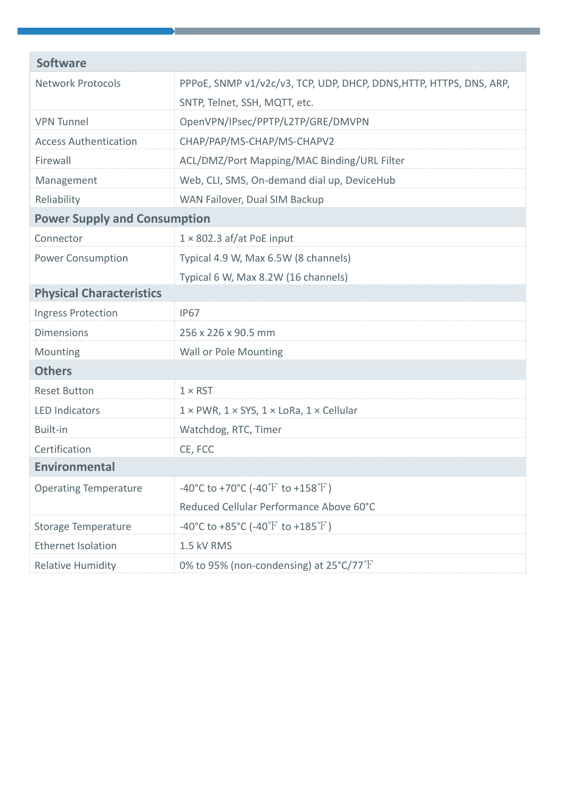| <b>Software</b>                     |                                                                      |
|-------------------------------------|----------------------------------------------------------------------|
| <b>Network Protocols</b>            | PPPOE, SNMP v1/v2c/v3, TCP, UDP, DHCP, DDNS, HTTP, HTTPS, DNS, ARP,  |
|                                     | SNTP, Telnet, SSH, MQTT, etc.                                        |
| <b>VPN Tunnel</b>                   | OpenVPN/IPsec/PPTP/L2TP/GRE/DMVPN                                    |
| <b>Access Authentication</b>        | CHAP/PAP/MS-CHAP/MS-CHAPV2                                           |
| Firewall                            | ACL/DMZ/Port Mapping/MAC Binding/URL Filter                          |
| Management                          | Web, CLI, SMS, On-demand dial up, DeviceHub                          |
| Reliability                         | WAN Failover, Dual SIM Backup                                        |
| <b>Power Supply and Consumption</b> |                                                                      |
| Connector                           | $1 \times 802.3$ af/at PoE input                                     |
| <b>Power Consumption</b>            | Typical 4.9 W, Max 6.5W (8 channels)                                 |
|                                     | Typical 6 W, Max 8.2W (16 channels)                                  |
| <b>Physical Characteristics</b>     |                                                                      |
| <b>Ingress Protection</b>           | <b>IP67</b>                                                          |
| <b>Dimensions</b>                   | 256 x 226 x 90.5 mm                                                  |
| Mounting                            | <b>Wall or Pole Mounting</b>                                         |
| <b>Others</b>                       |                                                                      |
| <b>Reset Button</b>                 | $1 \times RST$                                                       |
| <b>LED Indicators</b>               | $1 \times$ PWR, $1 \times$ SYS, $1 \times$ LoRa, $1 \times$ Cellular |
| Built-in                            | Watchdog, RTC, Timer                                                 |
| Certification                       | CE, FCC                                                              |
| <b>Environmental</b>                |                                                                      |
| <b>Operating Temperature</b>        | -40°C to +70°C (-40°F to +158°F)                                     |
|                                     | Reduced Cellular Performance Above 60°C                              |
| <b>Storage Temperature</b>          | -40°C to +85°C (-40°F to +185°F)                                     |
| <b>Ethernet Isolation</b>           | 1.5 kV RMS                                                           |
| <b>Relative Humidity</b>            | 0% to 95% (non-condensing) at $25^{\circ}$ C/77 $^{\circ}$ F         |